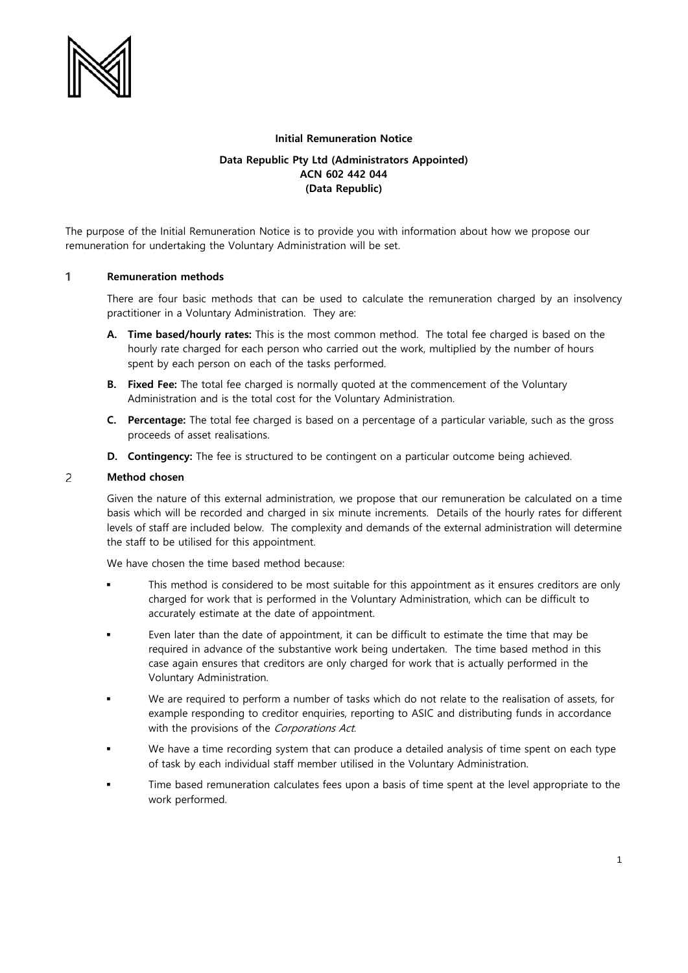

## **Initial Remuneration Notice**

# **Data Republic Pty Ltd (Administrators Appointed) ACN 602 442 044 (Data Republic)**

The purpose of the Initial Remuneration Notice is to provide you with information about how we propose our remuneration for undertaking the Voluntary Administration will be set.

#### $\mathbf{1}$ **Remuneration methods**

There are four basic methods that can be used to calculate the remuneration charged by an insolvency practitioner in a Voluntary Administration. They are:

- **A. Time based/hourly rates:** This is the most common method. The total fee charged is based on the hourly rate charged for each person who carried out the work, multiplied by the number of hours spent by each person on each of the tasks performed.
- **B. Fixed Fee:** The total fee charged is normally quoted at the commencement of the Voluntary Administration and is the total cost for the Voluntary Administration.
- **C. Percentage:** The total fee charged is based on a percentage of a particular variable, such as the gross proceeds of asset realisations.
- **D. Contingency:** The fee is structured to be contingent on a particular outcome being achieved.

#### **Method chosen** 2

Given the nature of this external administration, we propose that our remuneration be calculated on a time basis which will be recorded and charged in six minute increments. Details of the hourly rates for different levels of staff are included below. The complexity and demands of the external administration will determine the staff to be utilised for this appointment.

We have chosen the time based method because:

- This method is considered to be most suitable for this appointment as it ensures creditors are only charged for work that is performed in the Voluntary Administration, which can be difficult to accurately estimate at the date of appointment.
- Even later than the date of appointment, it can be difficult to estimate the time that may be required in advance of the substantive work being undertaken. The time based method in this case again ensures that creditors are only charged for work that is actually performed in the Voluntary Administration.
- We are required to perform a number of tasks which do not relate to the realisation of assets, for example responding to creditor enquiries, reporting to ASIC and distributing funds in accordance with the provisions of the Corporations Act.
- We have a time recording system that can produce a detailed analysis of time spent on each type of task by each individual staff member utilised in the Voluntary Administration.
- Time based remuneration calculates fees upon a basis of time spent at the level appropriate to the work performed.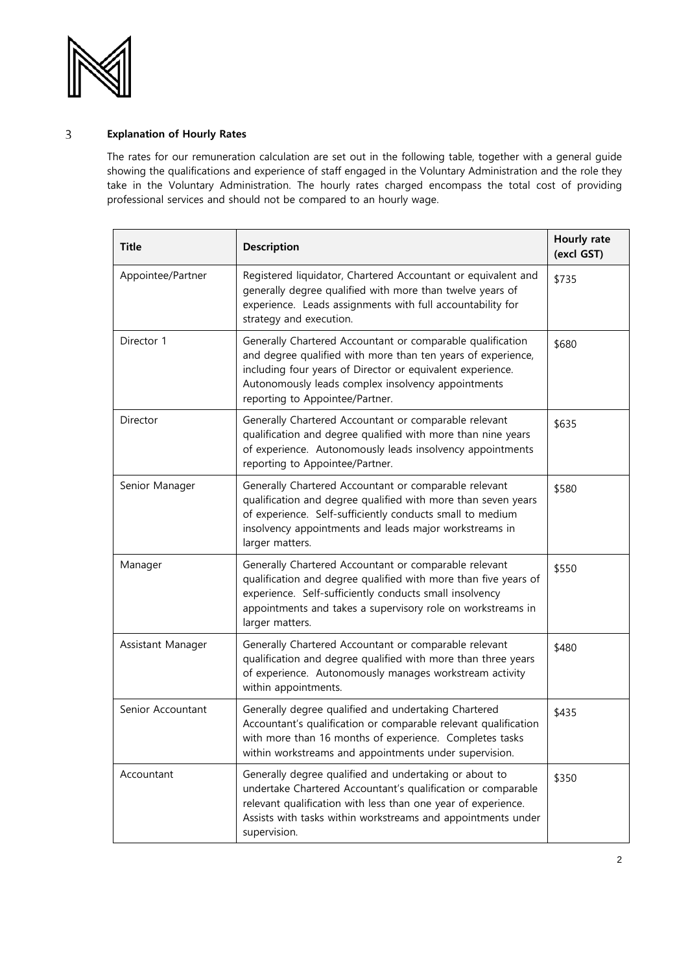

## $\overline{3}$ **Explanation of Hourly Rates**

The rates for our remuneration calculation are set out in the following table, together with a general guide showing the qualifications and experience of staff engaged in the Voluntary Administration and the role they take in the Voluntary Administration. The hourly rates charged encompass the total cost of providing professional services and should not be compared to an hourly wage.

| <b>Title</b>      | <b>Description</b>                                                                                                                                                                                                                                                                | Hourly rate<br>(excl GST) |
|-------------------|-----------------------------------------------------------------------------------------------------------------------------------------------------------------------------------------------------------------------------------------------------------------------------------|---------------------------|
| Appointee/Partner | Registered liquidator, Chartered Accountant or equivalent and<br>generally degree qualified with more than twelve years of<br>experience. Leads assignments with full accountability for<br>strategy and execution.                                                               | \$735                     |
| Director 1        | Generally Chartered Accountant or comparable qualification<br>and degree qualified with more than ten years of experience,<br>including four years of Director or equivalent experience.<br>Autonomously leads complex insolvency appointments<br>reporting to Appointee/Partner. | \$680                     |
| Director          | Generally Chartered Accountant or comparable relevant<br>qualification and degree qualified with more than nine years<br>of experience. Autonomously leads insolvency appointments<br>reporting to Appointee/Partner.                                                             | \$635                     |
| Senior Manager    | Generally Chartered Accountant or comparable relevant<br>qualification and degree qualified with more than seven years<br>of experience. Self-sufficiently conducts small to medium<br>insolvency appointments and leads major workstreams in<br>larger matters.                  | \$580                     |
| Manager           | Generally Chartered Accountant or comparable relevant<br>qualification and degree qualified with more than five years of<br>experience. Self-sufficiently conducts small insolvency<br>appointments and takes a supervisory role on workstreams in<br>larger matters.             | \$550                     |
| Assistant Manager | Generally Chartered Accountant or comparable relevant<br>qualification and degree qualified with more than three years<br>of experience. Autonomously manages workstream activity<br>within appointments.                                                                         | \$480                     |
| Senior Accountant | Generally degree qualified and undertaking Chartered<br>Accountant's qualification or comparable relevant qualification<br>with more than 16 months of experience. Completes tasks<br>within workstreams and appointments under supervision.                                      | \$435                     |
| Accountant        | Generally degree qualified and undertaking or about to<br>undertake Chartered Accountant's qualification or comparable<br>relevant qualification with less than one year of experience.<br>Assists with tasks within workstreams and appointments under<br>supervision.           | \$350                     |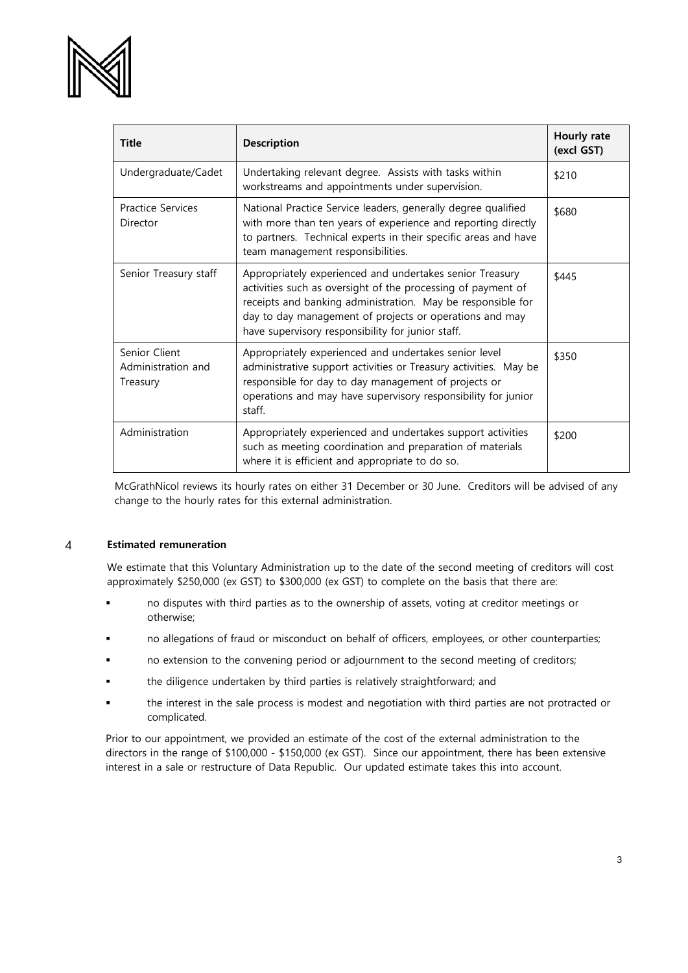

| <b>Title</b>                                    | <b>Description</b>                                                                                                                                                                                                                                                                                      | Hourly rate<br>(excl GST) |
|-------------------------------------------------|---------------------------------------------------------------------------------------------------------------------------------------------------------------------------------------------------------------------------------------------------------------------------------------------------------|---------------------------|
| Undergraduate/Cadet                             | Undertaking relevant degree. Assists with tasks within<br>workstreams and appointments under supervision.                                                                                                                                                                                               | \$210                     |
| <b>Practice Services</b><br>Director            | National Practice Service leaders, generally degree qualified<br>with more than ten years of experience and reporting directly<br>to partners. Technical experts in their specific areas and have<br>team management responsibilities.                                                                  | \$680                     |
| Senior Treasury staff                           | Appropriately experienced and undertakes senior Treasury<br>activities such as oversight of the processing of payment of<br>receipts and banking administration. May be responsible for<br>day to day management of projects or operations and may<br>have supervisory responsibility for junior staff. | \$445                     |
| Senior Client<br>Administration and<br>Treasury | Appropriately experienced and undertakes senior level<br>administrative support activities or Treasury activities. May be<br>responsible for day to day management of projects or<br>operations and may have supervisory responsibility for junior<br>staff.                                            | \$350                     |
| Administration                                  | Appropriately experienced and undertakes support activities<br>such as meeting coordination and preparation of materials<br>where it is efficient and appropriate to do so.                                                                                                                             | \$200                     |

McGrathNicol reviews its hourly rates on either 31 December or 30 June. Creditors will be advised of any change to the hourly rates for this external administration.

### **Estimated remuneration**  $\overline{4}$

We estimate that this Voluntary Administration up to the date of the second meeting of creditors will cost approximately \$250,000 (ex GST) to \$300,000 (ex GST) to complete on the basis that there are:

- no disputes with third parties as to the ownership of assets, voting at creditor meetings or otherwise;
- no allegations of fraud or misconduct on behalf of officers, employees, or other counterparties;
- no extension to the convening period or adjournment to the second meeting of creditors;
- the diligence undertaken by third parties is relatively straightforward; and
- the interest in the sale process is modest and negotiation with third parties are not protracted or complicated.

Prior to our appointment, we provided an estimate of the cost of the external administration to the directors in the range of \$100,000 - \$150,000 (ex GST). Since our appointment, there has been extensive interest in a sale or restructure of Data Republic. Our updated estimate takes this into account.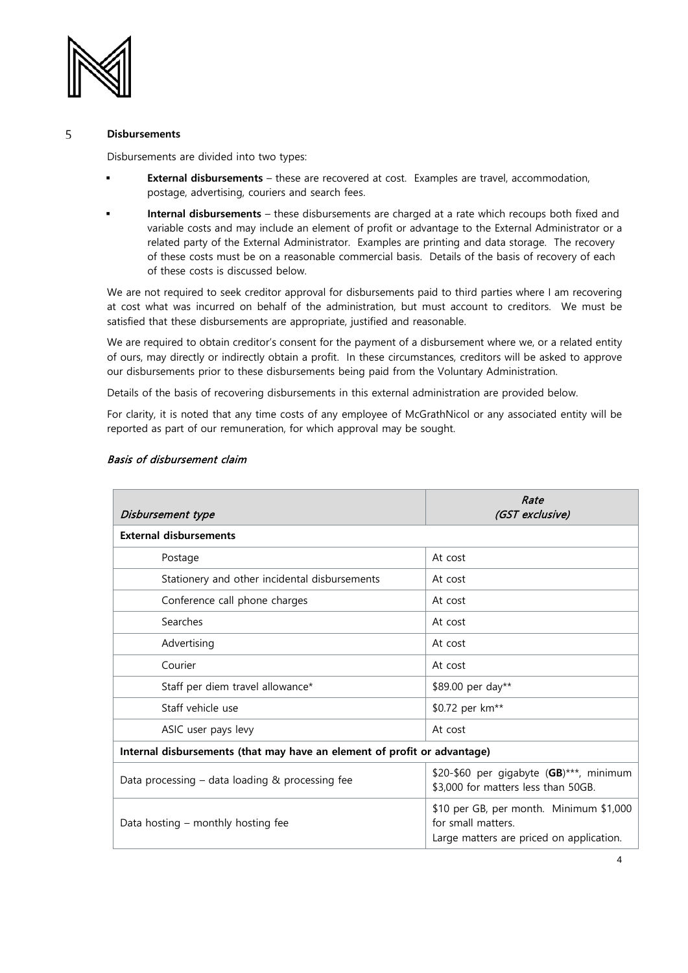

### 5 **Disbursements**

Disbursements are divided into two types:

- **External disbursements** these are recovered at cost. Examples are travel, accommodation, postage, advertising, couriers and search fees.
- **Internal disbursements** these disbursements are charged at a rate which recoups both fixed and variable costs and may include an element of profit or advantage to the External Administrator or a related party of the External Administrator. Examples are printing and data storage. The recovery of these costs must be on a reasonable commercial basis. Details of the basis of recovery of each of these costs is discussed below.

We are not required to seek creditor approval for disbursements paid to third parties where I am recovering at cost what was incurred on behalf of the administration, but must account to creditors. We must be satisfied that these disbursements are appropriate, justified and reasonable.

We are required to obtain creditor's consent for the payment of a disbursement where we, or a related entity of ours, may directly or indirectly obtain a profit. In these circumstances, creditors will be asked to approve our disbursements prior to these disbursements being paid from the Voluntary Administration.

Details of the basis of recovering disbursements in this external administration are provided below.

For clarity, it is noted that any time costs of any employee of McGrathNicol or any associated entity will be reported as part of our remuneration, for which approval may be sought.

| Disbursement type                                                        | Rate<br>(GST exclusive)                                                                                   |  |  |  |
|--------------------------------------------------------------------------|-----------------------------------------------------------------------------------------------------------|--|--|--|
| <b>External disbursements</b>                                            |                                                                                                           |  |  |  |
| Postage                                                                  | At cost                                                                                                   |  |  |  |
| Stationery and other incidental disbursements                            | At cost                                                                                                   |  |  |  |
| Conference call phone charges                                            | At cost                                                                                                   |  |  |  |
| Searches                                                                 | At cost                                                                                                   |  |  |  |
| Advertising                                                              | At cost                                                                                                   |  |  |  |
| Courier                                                                  | At cost                                                                                                   |  |  |  |
| Staff per diem travel allowance*                                         | \$89.00 per day**                                                                                         |  |  |  |
| Staff vehicle use                                                        | \$0.72 per km <sup>**</sup>                                                                               |  |  |  |
| ASIC user pays levy                                                      | At cost                                                                                                   |  |  |  |
| Internal disbursements (that may have an element of profit or advantage) |                                                                                                           |  |  |  |
| Data processing – data loading & processing fee                          | \$20-\$60 per gigabyte (GB)***, minimum<br>\$3,000 for matters less than 50GB.                            |  |  |  |
| Data hosting – monthly hosting fee                                       | \$10 per GB, per month. Minimum \$1,000<br>for small matters.<br>Large matters are priced on application. |  |  |  |

# Basis of disbursement claim